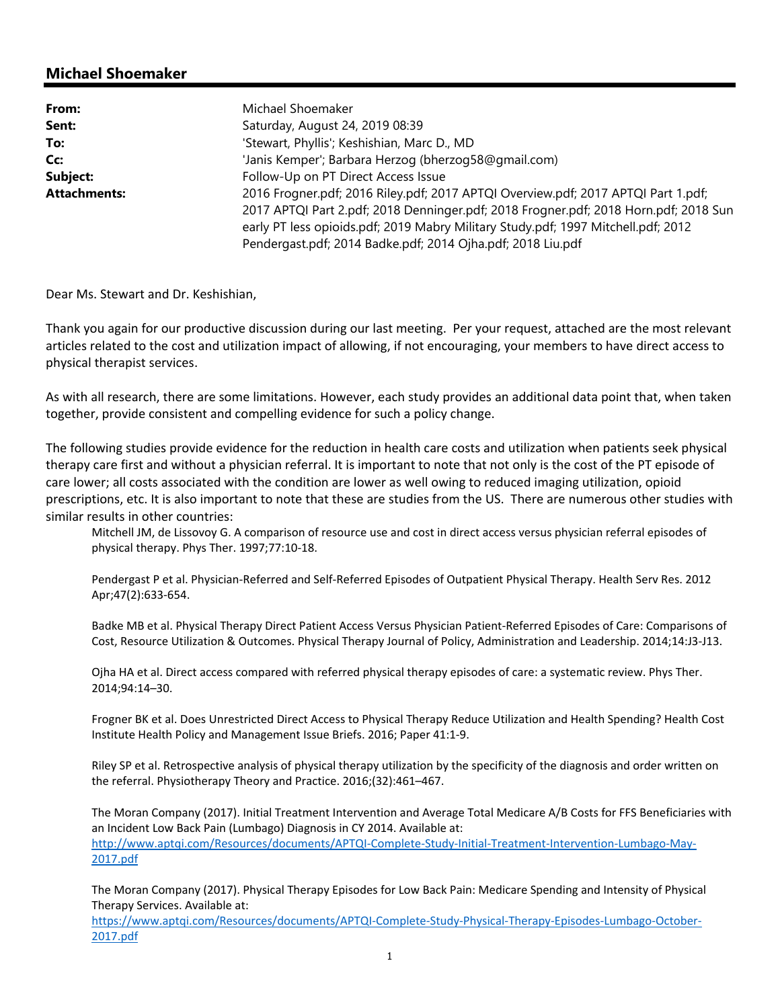## **Michael Shoemaker**

| From:               | Michael Shoemaker                                                                    |
|---------------------|--------------------------------------------------------------------------------------|
| Sent:               | Saturday, August 24, 2019 08:39                                                      |
| To:                 | 'Stewart, Phyllis'; Keshishian, Marc D., MD                                          |
| Cc:                 | 'Janis Kemper'; Barbara Herzog (bherzog58@gmail.com)                                 |
| Subject:            | Follow-Up on PT Direct Access Issue                                                  |
| <b>Attachments:</b> | 2016 Frogner.pdf; 2016 Riley.pdf; 2017 APTQI Overview.pdf; 2017 APTQI Part 1.pdf;    |
|                     | 2017 APTQI Part 2.pdf; 2018 Denninger.pdf; 2018 Frogner.pdf; 2018 Horn.pdf; 2018 Sun |
|                     | early PT less opioids.pdf; 2019 Mabry Military Study.pdf; 1997 Mitchell.pdf; 2012    |
|                     | Pendergast.pdf; 2014 Badke.pdf; 2014 Ojha.pdf; 2018 Liu.pdf                          |

Dear Ms. Stewart and Dr. Keshishian,

Thank you again for our productive discussion during our last meeting. Per your request, attached are the most relevant articles related to the cost and utilization impact of allowing, if not encouraging, your members to have direct access to physical therapist services.

As with all research, there are some limitations. However, each study provides an additional data point that, when taken together, provide consistent and compelling evidence for such a policy change.

The following studies provide evidence for the reduction in health care costs and utilization when patients seek physical therapy care first and without a physician referral. It is important to note that not only is the cost of the PT episode of care lower; all costs associated with the condition are lower as well owing to reduced imaging utilization, opioid prescriptions, etc. It is also important to note that these are studies from the US. There are numerous other studies with similar results in other countries:

Mitchell JM, de Lissovoy G. A comparison of resource use and cost in direct access versus physician referral episodes of physical therapy. Phys Ther. 1997;77:10‐18.

Pendergast P et al. Physician‐Referred and Self‐Referred Episodes of Outpatient Physical Therapy. Health Serv Res. 2012 Apr;47(2):633‐654.

Badke MB et al. Physical Therapy Direct Patient Access Versus Physician Patient‐Referred Episodes of Care: Comparisons of Cost, Resource Utilization & Outcomes. Physical Therapy Journal of Policy, Administration and Leadership. 2014;14:J3‐J13.

Ojha HA et al. Direct access compared with referred physical therapy episodes of care: a systematic review. Phys Ther. 2014;94:14–30.

Frogner BK et al. Does Unrestricted Direct Access to Physical Therapy Reduce Utilization and Health Spending? Health Cost Institute Health Policy and Management Issue Briefs. 2016; Paper 41:1‐9.

Riley SP et al. Retrospective analysis of physical therapy utilization by the specificity of the diagnosis and order written on the referral. Physiotherapy Theory and Practice. 2016;(32):461–467.

The Moran Company (2017). Initial Treatment Intervention and Average Total Medicare A/B Costs for FFS Beneficiaries with an Incident Low Back Pain (Lumbago) Diagnosis in CY 2014. Available at: http://www.aptqi.com/Resources/documents/APTQI‐Complete‐Study‐Initial‐Treatment‐Intervention‐Lumbago‐May‐ 2017.pdf

The Moran Company (2017). Physical Therapy Episodes for Low Back Pain: Medicare Spending and Intensity of Physical Therapy Services. Available at:

https://www.aptqi.com/Resources/documents/APTQI‐Complete‐Study‐Physical‐Therapy‐Episodes‐Lumbago‐October‐ 2017.pdf